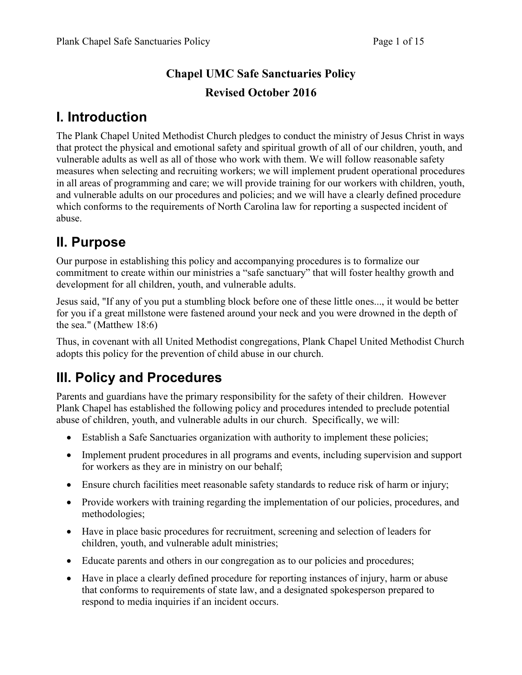# Chapel UMC Safe Sanctuaries Policy Revised October 2016

# I. Introduction

The Plank Chapel United Methodist Church pledges to conduct the ministry of Jesus Christ in ways that protect the physical and emotional safety and spiritual growth of all of our children, youth, and vulnerable adults as well as all of those who work with them. We will follow reasonable safety measures when selecting and recruiting workers; we will implement prudent operational procedures in all areas of programming and care; we will provide training for our workers with children, youth, and vulnerable adults on our procedures and policies; and we will have a clearly defined procedure which conforms to the requirements of North Carolina law for reporting a suspected incident of abuse.

# II. Purpose

Our purpose in establishing this policy and accompanying procedures is to formalize our commitment to create within our ministries a "safe sanctuary" that will foster healthy growth and development for all children, youth, and vulnerable adults.

Jesus said, "If any of you put a stumbling block before one of these little ones..., it would be better for you if a great millstone were fastened around your neck and you were drowned in the depth of the sea." (Matthew 18:6)

Thus, in covenant with all United Methodist congregations, Plank Chapel United Methodist Church adopts this policy for the prevention of child abuse in our church.

# III. Policy and Procedures

Parents and guardians have the primary responsibility for the safety of their children. However Plank Chapel has established the following policy and procedures intended to preclude potential abuse of children, youth, and vulnerable adults in our church. Specifically, we will:

- Establish a Safe Sanctuaries organization with authority to implement these policies;
- Implement prudent procedures in all programs and events, including supervision and support for workers as they are in ministry on our behalf;
- Ensure church facilities meet reasonable safety standards to reduce risk of harm or injury;
- Provide workers with training regarding the implementation of our policies, procedures, and methodologies;
- Have in place basic procedures for recruitment, screening and selection of leaders for children, youth, and vulnerable adult ministries;
- Educate parents and others in our congregation as to our policies and procedures;
- Have in place a clearly defined procedure for reporting instances of injury, harm or abuse that conforms to requirements of state law, and a designated spokesperson prepared to respond to media inquiries if an incident occurs.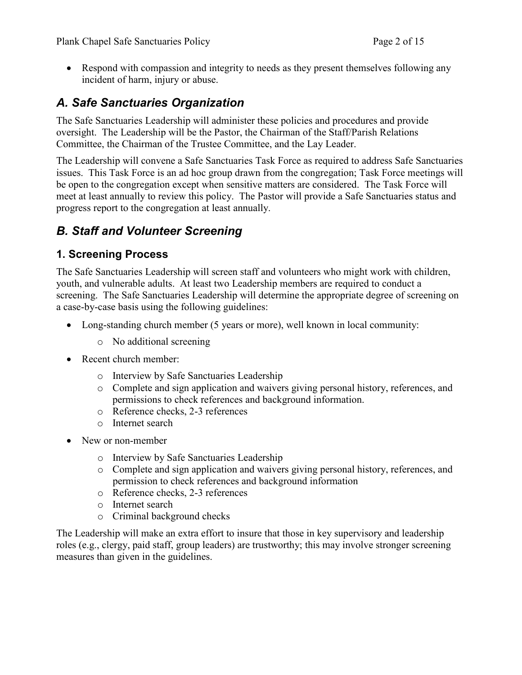• Respond with compassion and integrity to needs as they present themselves following any incident of harm, injury or abuse.

## A. Safe Sanctuaries Organization

The Safe Sanctuaries Leadership will administer these policies and procedures and provide oversight. The Leadership will be the Pastor, the Chairman of the Staff/Parish Relations Committee, the Chairman of the Trustee Committee, and the Lay Leader.

The Leadership will convene a Safe Sanctuaries Task Force as required to address Safe Sanctuaries issues. This Task Force is an ad hoc group drawn from the congregation; Task Force meetings will be open to the congregation except when sensitive matters are considered. The Task Force will meet at least annually to review this policy. The Pastor will provide a Safe Sanctuaries status and progress report to the congregation at least annually.

## B. Staff and Volunteer Screening

### 1. Screening Process

The Safe Sanctuaries Leadership will screen staff and volunteers who might work with children, youth, and vulnerable adults. At least two Leadership members are required to conduct a screening. The Safe Sanctuaries Leadership will determine the appropriate degree of screening on a case-by-case basis using the following guidelines:

- Long-standing church member (5 years or more), well known in local community:
	- o No additional screening
- Recent church member:
	- o Interview by Safe Sanctuaries Leadership
	- o Complete and sign application and waivers giving personal history, references, and permissions to check references and background information.
	- o Reference checks, 2-3 references
	- o Internet search
- New or non-member
	- o Interview by Safe Sanctuaries Leadership
	- o Complete and sign application and waivers giving personal history, references, and permission to check references and background information
	- o Reference checks, 2-3 references
	- o Internet search
	- o Criminal background checks

The Leadership will make an extra effort to insure that those in key supervisory and leadership roles (e.g., clergy, paid staff, group leaders) are trustworthy; this may involve stronger screening measures than given in the guidelines.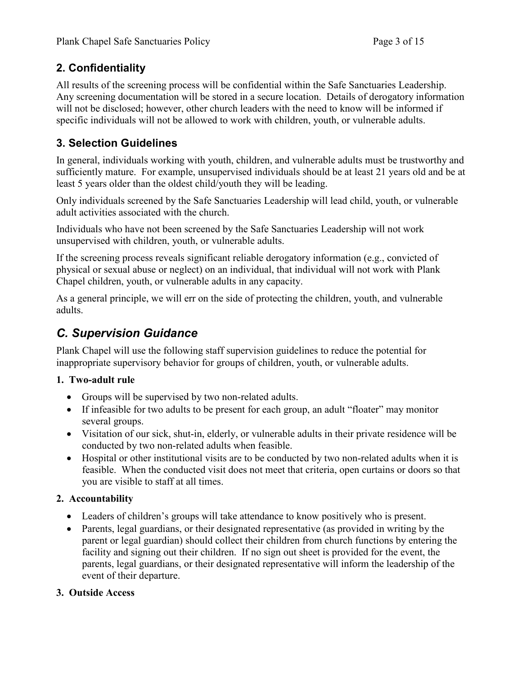### 2. Confidentiality

All results of the screening process will be confidential within the Safe Sanctuaries Leadership. Any screening documentation will be stored in a secure location. Details of derogatory information will not be disclosed; however, other church leaders with the need to know will be informed if specific individuals will not be allowed to work with children, youth, or vulnerable adults.

### 3. Selection Guidelines

In general, individuals working with youth, children, and vulnerable adults must be trustworthy and sufficiently mature. For example, unsupervised individuals should be at least 21 years old and be at least 5 years older than the oldest child/youth they will be leading.

Only individuals screened by the Safe Sanctuaries Leadership will lead child, youth, or vulnerable adult activities associated with the church.

Individuals who have not been screened by the Safe Sanctuaries Leadership will not work unsupervised with children, youth, or vulnerable adults.

If the screening process reveals significant reliable derogatory information (e.g., convicted of physical or sexual abuse or neglect) on an individual, that individual will not work with Plank Chapel children, youth, or vulnerable adults in any capacity.

As a general principle, we will err on the side of protecting the children, youth, and vulnerable adults.

## C. Supervision Guidance

Plank Chapel will use the following staff supervision guidelines to reduce the potential for inappropriate supervisory behavior for groups of children, youth, or vulnerable adults.

### 1. Two-adult rule

- Groups will be supervised by two non-related adults.
- If infeasible for two adults to be present for each group, an adult "floater" may monitor several groups.
- Visitation of our sick, shut-in, elderly, or vulnerable adults in their private residence will be conducted by two non-related adults when feasible.
- Hospital or other institutional visits are to be conducted by two non-related adults when it is feasible. When the conducted visit does not meet that criteria, open curtains or doors so that you are visible to staff at all times.

### 2. Accountability

- Leaders of children's groups will take attendance to know positively who is present.
- Parents, legal guardians, or their designated representative (as provided in writing by the parent or legal guardian) should collect their children from church functions by entering the facility and signing out their children. If no sign out sheet is provided for the event, the parents, legal guardians, or their designated representative will inform the leadership of the event of their departure.

### 3. Outside Access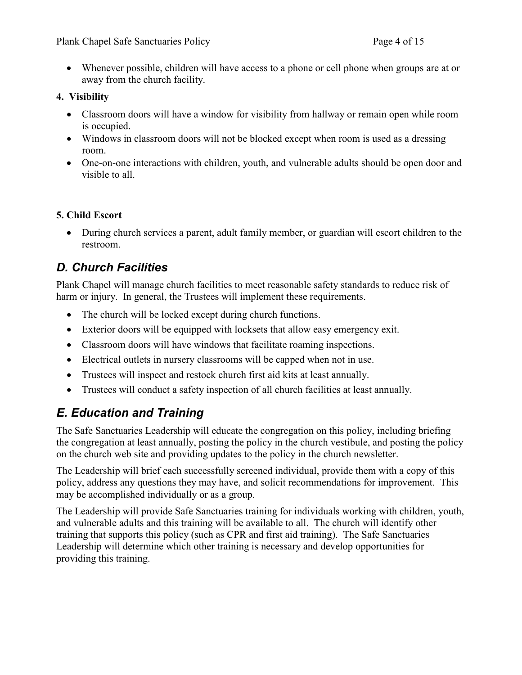• Whenever possible, children will have access to a phone or cell phone when groups are at or away from the church facility.

#### 4. Visibility

- Classroom doors will have a window for visibility from hallway or remain open while room is occupied.
- Windows in classroom doors will not be blocked except when room is used as a dressing room.
- One-on-one interactions with children, youth, and vulnerable adults should be open door and visible to all.

### 5. Child Escort

• During church services a parent, adult family member, or guardian will escort children to the restroom.

## D. Church Facilities

Plank Chapel will manage church facilities to meet reasonable safety standards to reduce risk of harm or injury. In general, the Trustees will implement these requirements.

- The church will be locked except during church functions.
- Exterior doors will be equipped with locksets that allow easy emergency exit.
- Classroom doors will have windows that facilitate roaming inspections.
- Electrical outlets in nursery classrooms will be capped when not in use.
- Trustees will inspect and restock church first aid kits at least annually.
- Trustees will conduct a safety inspection of all church facilities at least annually.

## E. Education and Training

The Safe Sanctuaries Leadership will educate the congregation on this policy, including briefing the congregation at least annually, posting the policy in the church vestibule, and posting the policy on the church web site and providing updates to the policy in the church newsletter.

The Leadership will brief each successfully screened individual, provide them with a copy of this policy, address any questions they may have, and solicit recommendations for improvement. This may be accomplished individually or as a group.

The Leadership will provide Safe Sanctuaries training for individuals working with children, youth, and vulnerable adults and this training will be available to all. The church will identify other training that supports this policy (such as CPR and first aid training). The Safe Sanctuaries Leadership will determine which other training is necessary and develop opportunities for providing this training.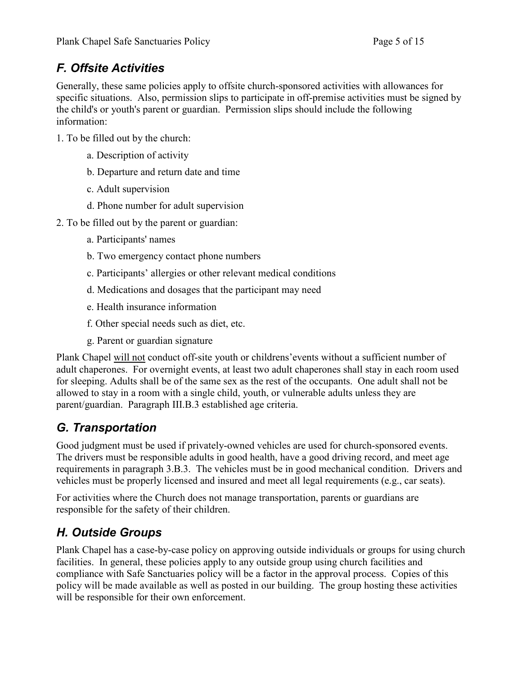## F. Offsite Activities

Generally, these same policies apply to offsite church-sponsored activities with allowances for specific situations. Also, permission slips to participate in off-premise activities must be signed by the child's or youth's parent or guardian. Permission slips should include the following information:

- 1. To be filled out by the church:
	- a. Description of activity
	- b. Departure and return date and time
	- c. Adult supervision
	- d. Phone number for adult supervision
- 2. To be filled out by the parent or guardian:
	- a. Participants' names
	- b. Two emergency contact phone numbers
	- c. Participants' allergies or other relevant medical conditions
	- d. Medications and dosages that the participant may need
	- e. Health insurance information
	- f. Other special needs such as diet, etc.
	- g. Parent or guardian signature

Plank Chapel will not conduct off-site youth or childrens'events without a sufficient number of adult chaperones. For overnight events, at least two adult chaperones shall stay in each room used for sleeping. Adults shall be of the same sex as the rest of the occupants. One adult shall not be allowed to stay in a room with a single child, youth, or vulnerable adults unless they are parent/guardian. Paragraph III.B.3 established age criteria.

## G. Transportation

Good judgment must be used if privately-owned vehicles are used for church-sponsored events. The drivers must be responsible adults in good health, have a good driving record, and meet age requirements in paragraph 3.B.3. The vehicles must be in good mechanical condition. Drivers and vehicles must be properly licensed and insured and meet all legal requirements (e.g., car seats).

For activities where the Church does not manage transportation, parents or guardians are responsible for the safety of their children.

## H. Outside Groups

Plank Chapel has a case-by-case policy on approving outside individuals or groups for using church facilities. In general, these policies apply to any outside group using church facilities and compliance with Safe Sanctuaries policy will be a factor in the approval process. Copies of this policy will be made available as well as posted in our building. The group hosting these activities will be responsible for their own enforcement.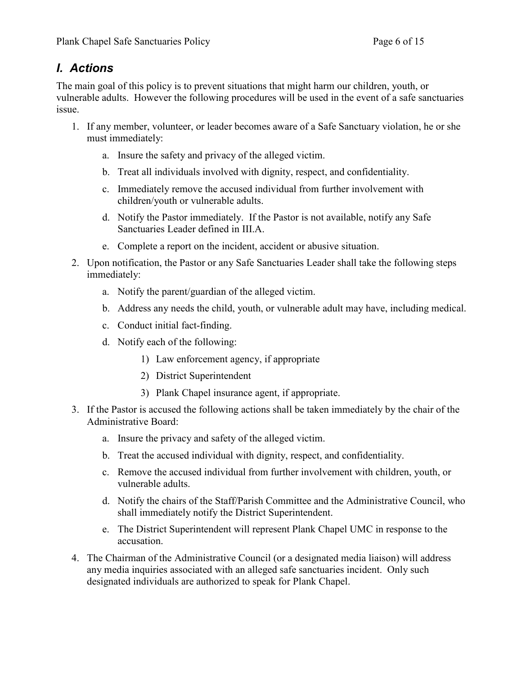## I. Actions

The main goal of this policy is to prevent situations that might harm our children, youth, or vulnerable adults. However the following procedures will be used in the event of a safe sanctuaries issue.

- 1. If any member, volunteer, or leader becomes aware of a Safe Sanctuary violation, he or she must immediately:
	- a. Insure the safety and privacy of the alleged victim.
	- b. Treat all individuals involved with dignity, respect, and confidentiality.
	- c. Immediately remove the accused individual from further involvement with children/youth or vulnerable adults.
	- d. Notify the Pastor immediately. If the Pastor is not available, notify any Safe Sanctuaries Leader defined in III.A.
	- e. Complete a report on the incident, accident or abusive situation.
- 2. Upon notification, the Pastor or any Safe Sanctuaries Leader shall take the following steps immediately:
	- a. Notify the parent/guardian of the alleged victim.
	- b. Address any needs the child, youth, or vulnerable adult may have, including medical.
	- c. Conduct initial fact-finding.
	- d. Notify each of the following:
		- 1) Law enforcement agency, if appropriate
		- 2) District Superintendent
		- 3) Plank Chapel insurance agent, if appropriate.
- 3. If the Pastor is accused the following actions shall be taken immediately by the chair of the Administrative Board:
	- a. Insure the privacy and safety of the alleged victim.
	- b. Treat the accused individual with dignity, respect, and confidentiality.
	- c. Remove the accused individual from further involvement with children, youth, or vulnerable adults.
	- d. Notify the chairs of the Staff/Parish Committee and the Administrative Council, who shall immediately notify the District Superintendent.
	- e. The District Superintendent will represent Plank Chapel UMC in response to the accusation.
- 4. The Chairman of the Administrative Council (or a designated media liaison) will address any media inquiries associated with an alleged safe sanctuaries incident. Only such designated individuals are authorized to speak for Plank Chapel.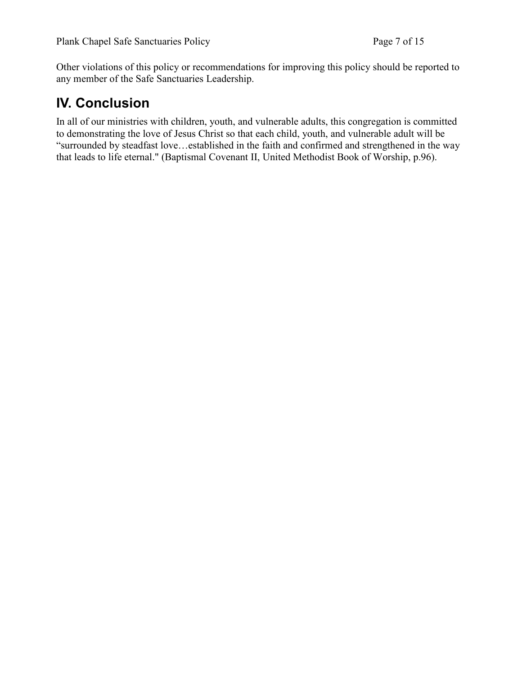Other violations of this policy or recommendations for improving this policy should be reported to any member of the Safe Sanctuaries Leadership.

# IV. Conclusion

In all of our ministries with children, youth, and vulnerable adults, this congregation is committed to demonstrating the love of Jesus Christ so that each child, youth, and vulnerable adult will be "surrounded by steadfast love…established in the faith and confirmed and strengthened in the way that leads to life eternal." (Baptismal Covenant II, United Methodist Book of Worship, p.96).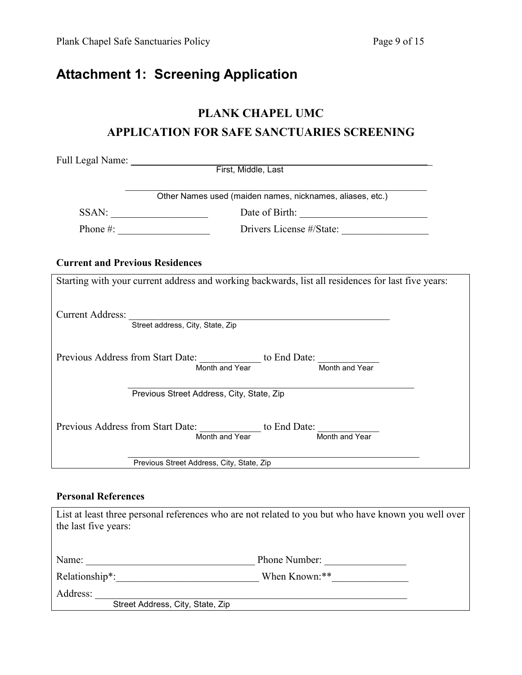# Attachment 1: Screening Application

### PLANK CHAPEL UMC

### APPLICATION FOR SAFE SANCTUARIES SCREENING

|                                           | Other Names used (maiden names, nicknames, aliases, etc.)                                          |
|-------------------------------------------|----------------------------------------------------------------------------------------------------|
| $SSAN: \underline{\qquad \qquad }$        |                                                                                                    |
|                                           | Drivers License #/State:                                                                           |
| <b>Current and Previous Residences</b>    |                                                                                                    |
|                                           | Starting with your current address and working backwards, list all residences for last five years: |
|                                           | Current Address: Street address, City, State, Zip                                                  |
|                                           | Previous Address from Start Date: Month and Year to End Date: Month and Year                       |
|                                           | Previous Street Address, City, State, Zip                                                          |
|                                           | Previous Address from Start Date: Month and Year to End Date: Month and Year                       |
| Previous Street Address, City, State, Zip |                                                                                                    |

#### Personal References

| the last five years:                         | List at least three personal references who are not related to you but who have known you well over |
|----------------------------------------------|-----------------------------------------------------------------------------------------------------|
| Name:                                        | Phone Number:                                                                                       |
| Relationship*:                               | When Known:**                                                                                       |
| Address:<br>Street Address, City, State, Zip |                                                                                                     |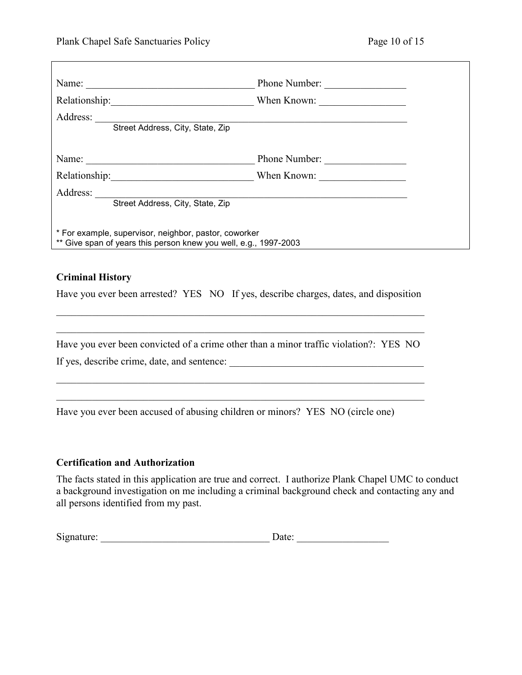┑

| Name:                                                                                                                     | Phone Number: |
|---------------------------------------------------------------------------------------------------------------------------|---------------|
| Relationship:<br><u> 1986 - John Stein, Amerikaansk kanton (</u>                                                          | When Known:   |
| Address:<br>Street Address, City, State, Zip                                                                              |               |
| Name: $\qquad \qquad$                                                                                                     | Phone Number: |
| Relationship:                                                                                                             | When Known:   |
| Address:<br>Street Address, City, State, Zip                                                                              |               |
| * For example, supervisor, neighbor, pastor, coworker<br>** Give span of years this person knew you well, e.g., 1997-2003 |               |

#### Criminal History

Г

Have you ever been arrested? YES NO If yes, describe charges, dates, and disposition

 $\_$  $\_$  ,  $\_$  ,  $\_$  ,  $\_$  ,  $\_$  ,  $\_$  ,  $\_$  ,  $\_$  ,  $\_$  ,  $\_$  ,  $\_$  ,  $\_$  ,  $\_$  ,  $\_$  ,  $\_$  ,  $\_$  ,  $\_$  ,  $\_$  ,  $\_$  ,  $\_$  ,  $\_$  ,  $\_$  ,  $\_$  ,  $\_$  ,  $\_$  ,  $\_$  ,  $\_$  ,  $\_$  ,  $\_$  ,  $\_$  ,  $\_$  ,  $\_$  ,  $\_$  ,  $\_$  ,  $\_$  ,  $\_$  ,  $\_$  ,

Have you ever been convicted of a crime other than a minor traffic violation?: YES NO

 $\_$  $\_$ 

If yes, describe crime, date, and sentence: \_\_\_\_\_\_\_\_\_\_\_\_\_\_\_\_\_\_\_\_\_\_\_\_\_\_\_\_\_\_\_\_\_\_\_\_\_\_

Have you ever been accused of abusing children or minors? YES NO (circle one)

#### Certification and Authorization

The facts stated in this application are true and correct. I authorize Plank Chapel UMC to conduct a background investigation on me including a criminal background check and contacting any and all persons identified from my past.

| Signature: | Jate: |  |
|------------|-------|--|
|            |       |  |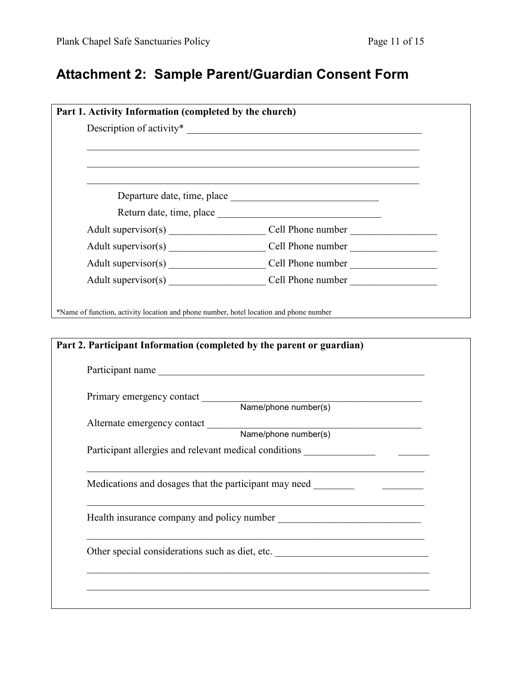# Attachment 2: Sample Parent/Guardian Consent Form

|                           | Return date, time, place                                                                                                             |
|---------------------------|--------------------------------------------------------------------------------------------------------------------------------------|
|                           |                                                                                                                                      |
|                           |                                                                                                                                      |
|                           |                                                                                                                                      |
|                           |                                                                                                                                      |
|                           | Part 2. Participant Information (completed by the parent or guardian)<br>Participant name                                            |
|                           |                                                                                                                                      |
| Primary emergency contact | Name/phone number(s)                                                                                                                 |
|                           |                                                                                                                                      |
|                           | Alternate emergency contact Name/phone number(s)<br>Participant allergies and relevant medical conditions __________________________ |
|                           | Medications and dosages that the participant may need                                                                                |
|                           |                                                                                                                                      |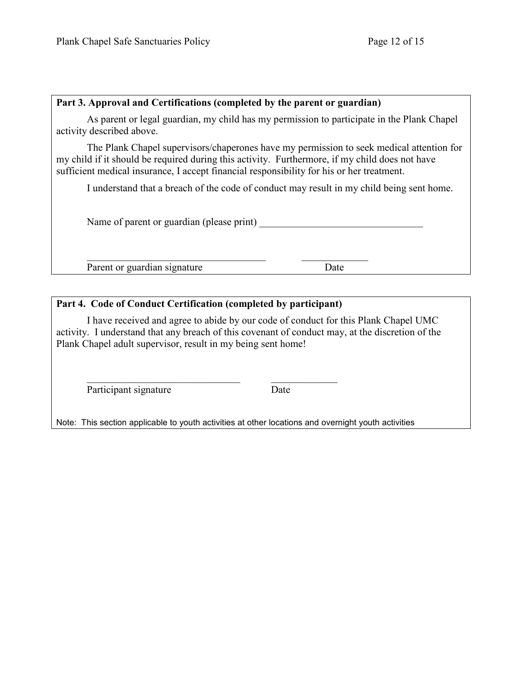#### Part 3. Approval and Certifications (completed by the parent or guardian)

As parent or legal guardian, my child has my permission to participate in the Plank Chapel activity described above.

The Plank Chapel supervisors/chaperones have my permission to seek medical attention for my child if it should be required during this activity. Furthermore, if my child does not have sufficient medical insurance, I accept financial responsibility for his or her treatment.

I understand that a breach of the code of conduct may result in my child being sent home.

Name of parent or guardian (please print)

Parent or guardian signature Date

#### Part 4. Code of Conduct Certification (completed by participant)

\_\_\_\_\_\_\_\_\_\_\_\_\_\_\_\_\_\_\_\_\_\_\_\_\_\_\_\_\_\_ \_\_\_\_\_\_\_\_\_\_\_\_\_

I have received and agree to abide by our code of conduct for this Plank Chapel UMC activity. I understand that any breach of this covenant of conduct may, at the discretion of the Plank Chapel adult supervisor, result in my being sent home!

\_\_\_\_\_\_\_\_\_\_\_\_\_\_\_\_\_\_\_\_\_\_\_\_\_\_\_\_\_\_\_\_\_\_\_ \_\_\_\_\_\_\_\_\_\_\_\_\_

Participant signature Date

Note: This section applicable to youth activities at other locations and overnight youth activities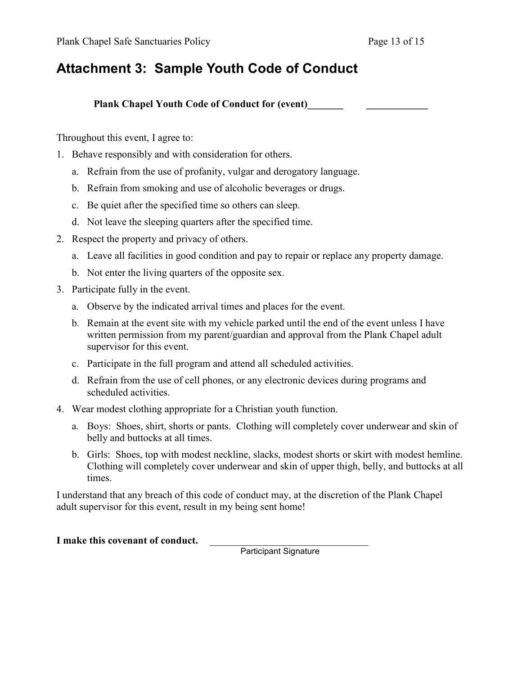# Attachment 3: Sample Youth Code of Conduct

Plank Chapel Youth Code of Conduct for (event)

Throughout this event, I agree to:

- 1. Behave responsibly and with consideration for others.
	- a. Refrain from the use of profanity, vulgar and derogatory language.
	- b. Refrain from smoking and use of alcoholic beverages or drugs.
	- c. Be quiet after the specified time so others can sleep.
	- d. Not leave the sleeping quarters after the specified time.
- 2. Respect the property and privacy of others.
	- a. Leave all facilities in good condition and pay to repair or replace any property damage.
	- b. Not enter the living quarters of the opposite sex.
- 3. Participate fully in the event.
	- a. Observe by the indicated arrival times and places for the event.
	- b. Remain at the event site with my vehicle parked until the end of the event unless I have written permission from my parent/guardian and approval from the Plank Chapel adult supervisor for this event.
	- c. Participate in the full program and attend all scheduled activities.
	- d. Refrain from the use of cell phones, or any electronic devices during programs and scheduled activities.
- 4. Wear modest clothing appropriate for a Christian youth function.
	- a. Boys: Shoes, shirt, shorts or pants. Clothing will completely cover underwear and skin of belly and buttocks at all times.
	- b. Girls: Shoes, top with modest neckline, slacks, modest shorts or skirt with modest hemline. Clothing will completely cover underwear and skin of upper thigh, belly, and buttocks at all times.

I understand that any breach of this code of conduct may, at the discretion of the Plank Chapel adult supervisor for this event, result in my being sent home!

#### I make this covenant of conduct.

**Participant Signature**